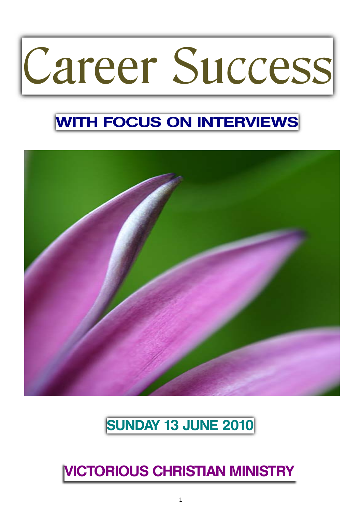# Career Success

## **WITH FOCUS ON INTERVIEWS**



## **SUNDAY 13 JUNE 2010**

## **VICTORIOUS CHRISTIAN MINISTRY**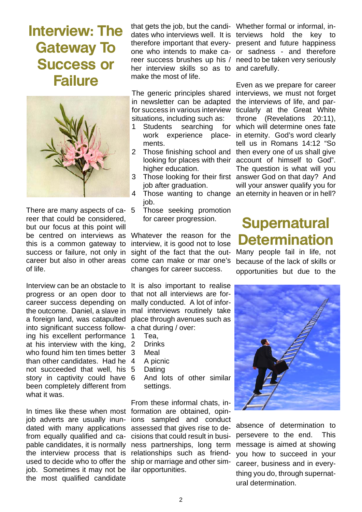## **Interview: The Gateway To Success or Failure**



There are many aspects of career that could be considered, but our focus at this point will be centred on interviews as this is a common gateway to success or failure, not only in career but also in other areas of life.

Interview can be an obstacle to progress or an open door to career success depending on the outcome. Daniel, a slave in a foreign land, was catapulted into significant success following his excellent performance at his interview with the king, who found him ten times better 3 than other candidates. Had he not succeeded that well, his story in captivity could have 6 been completely different from what it was.

In times like these when most formation are obtained, opinjob adverts are usually inundated with many applications from equally qualified and capable candidates, it is normally the interview process that is relationships such as friendused to decide who to offer the ship or marriage and other simjob. Sometimes it may not be ilar opportunities. the most qualified candidate

that gets the job, but the candi-Whether formal or informal, inher interview skills so as to and carefully. make the most of life.

in newsletter can be adapted for success in various interview situations, including such as:

- 1 Students searching work experience placements.
- 2 Those finishing school and higher education.
- job after graduation.
- 4 Those wanting to change an eternity in heaven or in hell? job.
- 5 Those seeking promotion for career progression.

Whatever the reason for the interview, it is good not to lose sight of the fact that the outcome can make or mar one's changes for career success.

It is also important to realise that not all interviews are formally conducted. A lot of informal interviews routinely take place through avenues such as a chat during / over:

- Tea.
- **Drinks**
- **Meal**
- 4 A picnic
- **Dating**
- And lots of other similar settings.

From these informal chats, inions sampled and conduct assessed that gives rise to decisions that could result in business partnerships, long term

dates who interviews well. It is terviews hold the key to therefore important that every-present and future happiness one who intends to make ca-or sadness - and therefore reer success brushes up his / need to be taken very seriously

The generic principles shared interviews, we must not forget looking for places with their account of himself to God". 3 Those looking for their first answer God on that day? And Even as we prepare for career the interviews of life, and particularly at the Great White throne (Revelations 20:11), which will determine ones fate in eternity. God's word clearly tell us in Romans 14:12 "So then every one of us shall give The question is what will you will your answer qualify you for

## **Supernatural Determination**

Many people fail in life, not because of the lack of skills or opportunities but due to the



absence of determination to persevere to the end. This message is aimed at showing you how to succeed in your career, business and in everything you do, through supernatural determination.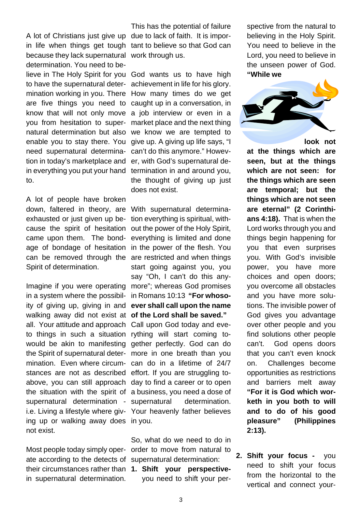A lot of Christians just give up due to lack of faith. It is imporbecause they lack supernatural work through us. determination. You need to believe in The Holy Spirit for you God wants us to have high you from hesitation to superneed supernatural determination in today's marketplace and to.

A lot of people have broken down, faltered in theory, are With supernatural determinaexhausted or just given up because the spirit of hesitation came upon them. The bondage of bondage of hesitation in the power of the flesh. You can be removed through the are restricted and when things Spirit of determination.

Imagine if you were operating more"; whereas God promises in a system where the possibility of giving up, giving in and **ever shall call upon the name**  walking away did not exist at **of the Lord shall be saved."** all. Your attitude and approach Call upon God today and eveto things in such a situation rything will start coming towould be akin to manifesting gether perfectly. God can do the Spirit of supernatural deter-more in one breath than you mination. Even where circum-can do in a lifetime of 24/7 stances are not as described effort. If you are struggling toabove, you can still approach day to find a career or to open the situation with the spirit of a business, you need a dose of supernatural determination - supernatural determination. i.e. Living a lifestyle where giv-Your heavenly father believes ing up or walking away does in you. not exist.

ate according to the detects of supernatural determination: their circumstances rather than **1. Shift your perspective**in supernatural determination.

in life when things get tough tant to believe so that God can This has the potential of failure

to have the supernatural deter-achievement in life for his glory. mination working in you. There How many times do we get are five things you need to caught up in a conversation, in know that will not only move a job interview or even in a natural determination but also we know we are tempted to enable you to stay there. You give up. A giving up life says, "I in everything you put your hand termination in and around you, market place and the next thing can't do this anymore." However, with God's supernatural dethe thought of giving up just does not exist.

> tion everything is spiritual, without the power of the Holy Spirit, everything is limited and done start going against you, you say "Oh, I can't do this anyin Romans 10:13 **"For whoso-**

Most people today simply oper-order to move from natural to So, what do we need to do in

you need to shift your per-

spective from the natural to believing in the Holy Spirit. You need to believe in the Lord, you need to believe in the unseen power of God. **"While we** 



**look not** 

**at the things which are seen, but at the things which are not seen: for the things which are seen are temporal; but the things which are not seen are eternal" (2 Corinthians 4:18).** That is when the Lord works through you and things begin happening for you that even surprises you. With God's invisible power, you have more choices and open doors; you overcome all obstacles and you have more solutions. The invisible power of God gives you advantage over other people and you find solutions other people can't. God opens doors that you can't even knock on. Challenges become opportunities as restrictions and barriers melt away **"For it is God which worketh in you both to will and to do of his good pleasure" (Philippines 2:13).**

**2. Shift your focus -** you need to shift your focus from the horizontal to the vertical and connect your-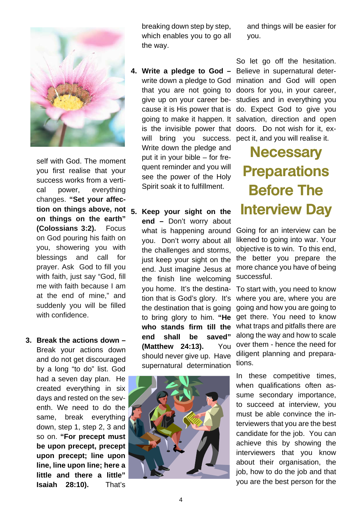

self with God. The moment you first realise that your success works from a vertical power, everything changes. **"Set your affection on things above, not on things on the earth" (Colossians 3:2).** Focus on God pouring his faith on you, showering you with blessings and call for prayer. Ask God to fill you with faith, just say "God, fill me with faith because I am at the end of mine," and suddenly you will be filled with confidence

**3. Break the actions down –**  Break your actions down and do not get discouraged by a long "to do" list. God had a seven day plan. He created everything in six days and rested on the seventh. We need to do the same, break everything down, step 1, step 2, 3 and so on. **"For precept must be upon precept, precept upon precept; line upon line, line upon line; here a little and there a little" Isaiah 28:10).** That's

breaking down step by step, which enables you to go all the way.

- **4. Write a pledge to God**  Believe in supernatural deter-Write down the pledge and put it in your bible – for frequent reminder and you will see the power of the Holy Spirit soak it to fulfillment.
- **5. Keep your sight on the end –** Don't worry about what is happening around you. Don't worry about all the challenges and storms, just keep your sight on the end. Just imagine Jesus at the finish line welcoming you home. It's the destination that is God's glory. It's the destination that is going to bring glory to him. **"He who stands firm till the end shall be saved" (Matthew 24:13).** You should never give up. Have supernatural determination



and things will be easier for you.

write down a pledge to God mination and God will open that you are not going to doors for you, in your career, give up on your career be-studies and in everything you cause it is His power that is do. Expect God to give you going to make it happen. It salvation, direction and open is the invisible power that doors. Do not wish for it, exwill bring you success. pect it, and you will realise it. So let go off the hesitation.

> **Necessary Preparations Before The Interview Day**

Going for an interview can be likened to going into war. Your objective is to win. To this end, the better you prepare the more chance you have of being successful.

To start with, you need to know where you are, where you are going and how you are going to get there. You need to know what traps and pitfalls there are along the way and how to scale over them - hence the need for diligent planning and preparations.

In these competitive times, when qualifications often assume secondary importance, to succeed at interview, you must be able convince the interviewers that you are the best candidate for the job. You can achieve this by showing the interviewers that you know about their organisation, the job, how to do the job and that you are the best person for the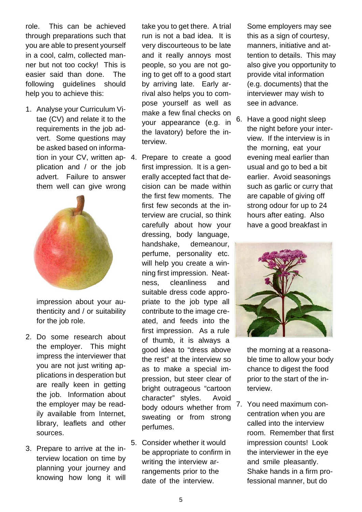role. This can be achieved through preparations such that you are able to present yourself in a cool, calm, collected manner but not too cocky! This is easier said than done. The following guidelines should help you to achieve this:

1. Analyse your Curriculum Vitae (CV) and relate it to the requirements in the job advert. Some questions may be asked based on informaplication and / or the job advert. Failure to answer them well can give wrong



impression about your authenticity and / or suitability for the job role.

- 2. Do some research about the employer. This might impress the interviewer that you are not just writing applications in desperation but are really keen in getting the job. Information about the employer may be readily available from Internet, library, leaflets and other sources.
- 3. Prepare to arrive at the interview location on time by planning your journey and knowing how long it will

take you to get there. A trial run is not a bad idea. It is very discourteous to be late and it really annoys most people, so you are not going to get off to a good start by arriving late. Early arrival also helps you to compose yourself as well as make a few final checks on your appearance (e.g. in the lavatory) before the interview.

- tion in your CV, written ap-4. Prepare to create a good first impression. It is a generally accepted fact that decision can be made within the first few moments. The first few seconds at the interview are crucial, so think carefully about how your dressing, body language, handshake, demeanour, perfume, personality etc. will help you create a winning first impression. Neatness, cleanliness and suitable dress code appropriate to the job type all contribute to the image created, and feeds into the first impression. As a rule of thumb, it is always a good idea to "dress above the rest" at the interview so as to make a special impression, but steer clear of bright outrageous "cartoon character" styles. Avoid body odours whether from sweating or from strong perfumes.
	- 5. Consider whether it would be appropriate to confirm in writing the interview arrangements prior to the date of the interview.

Some employers may see this as a sign of courtesy, manners, initiative and attention to details. This may also give you opportunity to provide vital information (e.g. documents) that the interviewer may wish to see in advance.

6. Have a good night sleep the night before your interview. If the interview is in the morning, eat your evening meal earlier than usual and go to bed a bit earlier. Avoid seasonings such as garlic or curry that are capable of giving off strong odour for up to 24 hours after eating. Also have a good breakfast in



the morning at a reasonable time to allow your body chance to digest the food prior to the start of the interview.

7. You need maximum concentration when you are called into the interview room. Remember that first impression counts! Look the interviewer in the eye and smile pleasantly. Shake hands in a firm professional manner, but do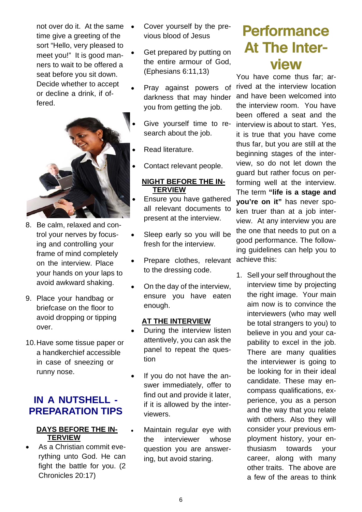not over do it. At the same  $\bullet$ time give a greeting of the sort "Hello, very pleased to meet you!" It is good manners to wait to be offered a seat before you sit down. Decide whether to accept or decline a drink, if offered.



- 8. Be calm, relaxed and control your nerves by focusing and controlling your frame of mind completely on the interview. Place your hands on your laps to avoid awkward shaking.
- 9. Place your handbag or briefcase on the floor to avoid dropping or tipping over.
- 10. Have some tissue paper or a handkerchief accessible in case of sneezing or runny nose.

## **IN A NUTSHELL - PREPARATION TIPS**

#### **DAYS BEFORE THE IN-TERVIEW**

 As a Christian commit everything unto God. He can fight the battle for you. (2 Chronicles 20:17)

- Cover yourself by the previous blood of Jesus
- Get prepared by putting on the entire armour of God, (Ephesians 6:11,13)
- Pray against powers of darkness that may hinder you from getting the job.
- Give yourself time to research about the job.
- Read literature.
- Contact relevant people.

#### **NIGHT BEFORE THE IN-TERVIEW**

- Ensure you have gathered all relevant documents to present at the interview.
- Sleep early so you will be fresh for the interview.
- Prepare clothes, relevant to the dressing code.
- On the day of the interview, ensure you have eaten enough.

#### **AT THE INTERVIEW**

- During the interview listen attentively, you can ask the panel to repeat the question
- If you do not have the answer immediately, offer to find out and provide it later, if it is allowed by the interviewers.
- Maintain regular eye with the interviewer whose question you are answering, but avoid staring.

## **Performance At The Interview**

You have come thus far; arrived at the interview location and have been welcomed into the interview room. You have been offered a seat and the interview is about to start. Yes, it is true that you have come thus far, but you are still at the beginning stages of the interview, so do not let down the guard but rather focus on performing well at the interview. The term **"life is a stage and you're on it"** has never spoken truer than at a job interview. At any interview you are the one that needs to put on a good performance. The following guidelines can help you to achieve this:

1. Sell your self throughout the interview time by projecting the right image. Your main aim now is to convince the interviewers (who may well be total strangers to you) to believe in you and your capability to excel in the job. There are many qualities the interviewer is going to be looking for in their ideal candidate. These may encompass qualifications, experience, you as a person and the way that you relate with others. Also they will consider your previous employment history, your enthusiasm towards your career, along with many other traits. The above are a few of the areas to think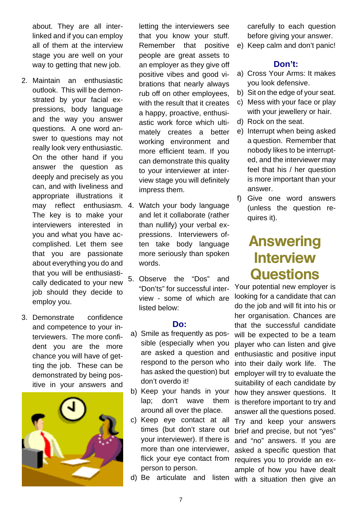about. They are all interlinked and if you can employ all of them at the interview stage you are well on your way to getting that new job.

- 2. Maintain an enthusiastic outlook. This will be demonstrated by your facial expressions, body language and the way you answer questions. A one word answer to questions may not really look very enthusiastic. On the other hand if you answer the question as deeply and precisely as you can, and with liveliness and appropriate illustrations it may reflect enthusiasm. 4. The key is to make your interviewers interested in you and what you have accomplished. Let them see that you are passionate about everything you do and that you will be enthusiastically dedicated to your new job should they decide to employ you.
- 3. Demonstrate confidence and competence to your interviewers. The more confident you are the more chance you will have of getting the job. These can be demonstrated by being positive in your answers and



letting the interviewers see that you know your stuff. Remember that positive people are great assets to an employer as they give off positive vibes and good vibrations that nearly always rub off on other employees, with the result that it creates a happy, proactive, enthusiastic work force which ultimately creates a better working environment and more efficient team. If you can demonstrate this quality to your interviewer at interview stage you will definitely impress them.

- Watch your body language and let it collaborate (rather than nullify) your verbal expressions. Interviewers often take body language more seriously than spoken words.
- 5. Observe the "Dos" and "Don'ts" for successful interview - some of which are listed below:

#### **Do:**

- a) Smile as frequently as possible (especially when you are asked a question and respond to the person who has asked the question) but don't overdo it!
- b) Keep your hands in your lap; don't wave them around all over the place.
- c) Keep eye contact at all times (but don't stare out your interviewer). If there is more than one interviewer, flick your eye contact from person to person.
- d) Be articulate and listen

carefully to each question before giving your answer.

e) Keep calm and don't panic!

#### **Don't:**

- a) Cross Your Arms: It makes you look defensive.
- b) Sit on the edge of your seat.
- c) Mess with your face or play with your jewellery or hair.
- d) Rock on the seat.
- e) Interrupt when being asked a question. Remember that nobody likes to be interrupted, and the interviewer may feel that his / her question is more important than your answer.
- f) Give one word answers (unless the question requires it).

## **Answering Interview Questions**

Your potential new employer is looking for a candidate that can do the job and will fit into his or her organisation. Chances are that the successful candidate will be expected to be a team player who can listen and give enthusiastic and positive input into their daily work life. The employer will try to evaluate the suitability of each candidate by how they answer questions. It is therefore important to try and answer all the questions posed. Try and keep your answers brief and precise, but not "yes" and "no" answers. If you are asked a specific question that requires you to provide an example of how you have dealt with a situation then give an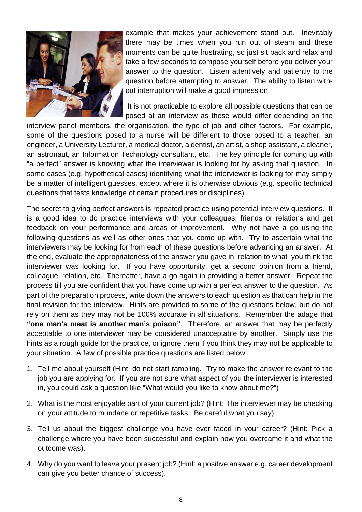

example that makes your achievement stand out. Inevitably there may be times when you run out of steam and these moments can be quite frustrating, so just sit back and relax and take a few seconds to compose yourself before you deliver your answer to the question. Listen attentively and patiently to the question before attempting to answer. The ability to listen without interruption will make a good impression!

 It is not practicable to explore all possible questions that can be posed at an interview as these would differ depending on the

interview panel members, the organisation, the type of job and other factors. For example, some of the questions posed to a nurse will be different to those posed to a teacher, an engineer, a University Lecturer, a medical doctor, a dentist, an artist, a shop assistant, a cleaner, an astronaut, an Information Technology consultant, etc. The key principle for coming up with "a perfect" answer is knowing what the interviewer is looking for by asking that question. In some cases (e.g. hypothetical cases) identifying what the interviewer is looking for may simply be a matter of intelligent guesses, except where it is otherwise obvious (e.g. specific technical questions that tests knowledge of certain procedures or disciplines).

The secret to giving perfect answers is repeated practice using potential interview questions. It is a good idea to do practice interviews with your colleagues, friends or relations and get feedback on your performance and areas of improvement. Why not have a go using the following questions as well as other ones that you come up with. Try to ascertain what the interviewers may be looking for from each of these questions before advancing an answer. At the end, evaluate the appropriateness of the answer you gave in relation to what you think the interviewer was looking for. If you have opportunity, get a second opinion from a friend, colleague, relation, etc. Thereafter, have a go again in providing a better answer. Repeat the process till you are confident that you have come up with a perfect answer to the question. As part of the preparation process, write down the answers to each question as that can help in the final revision for the interview. Hints are provided to some of the questions below, but do not rely on them as they may not be 100% accurate in all situations. Remember the adage that **"one man's meat is another man's poison"**. Therefore, an answer that may be perfectly acceptable to one interviewer may be considered unacceptable by another. Simply use the hints as a rough guide for the practice, or ignore them if you think they may not be applicable to your situation. A few of possible practice questions are listed below:

- 1. Tell me about yourself (Hint: do not start rambling. Try to make the answer relevant to the job you are applying for. If you are not sure what aspect of you the interviewer is interested in, you could ask a question like "What would you like to know about me?")
- 2. What is the most enjoyable part of your current job? (Hint: The interviewer may be checking on your attitude to mundane or repetitive tasks. Be careful what you say).
- 3. Tell us about the biggest challenge you have ever faced in your career? (Hint: Pick a challenge where you have been successful and explain how you overcame it and what the outcome was).
- 4. Why do you want to leave your present job? (Hint: a positive answer e.g. career development can give you better chance of success).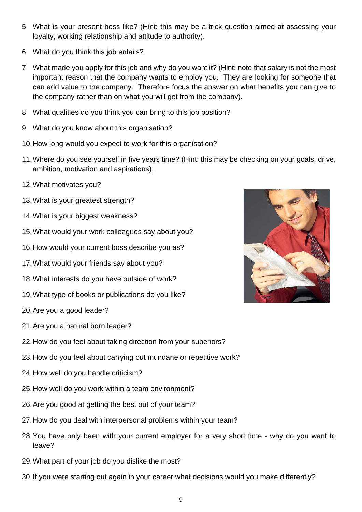- 5. What is your present boss like? (Hint: this may be a trick question aimed at assessing your loyalty, working relationship and attitude to authority).
- 6. What do you think this job entails?
- 7. What made you apply for this job and why do you want it? (Hint: note that salary is not the most important reason that the company wants to employ you. They are looking for someone that can add value to the company. Therefore focus the answer on what benefits you can give to the company rather than on what you will get from the company).
- 8. What qualities do you think you can bring to this job position?
- 9. What do you know about this organisation?
- 10. How long would you expect to work for this organisation?
- 11. Where do you see yourself in five years time? (Hint: this may be checking on your goals, drive, ambition, motivation and aspirations).
- 12. What motivates you?
- 13. What is your greatest strength?
- 14. What is your biggest weakness?
- 15. What would your work colleagues say about you?
- 16. How would your current boss describe you as?
- 17. What would your friends say about you?
- 18. What interests do you have outside of work?
- 19. What type of books or publications do you like?
- 20. Are you a good leader?
- 21. Are you a natural born leader?
- 22. How do you feel about taking direction from your superiors?
- 23. How do you feel about carrying out mundane or repetitive work?
- 24. How well do you handle criticism?
- 25. How well do you work within a team environment?
- 26. Are you good at getting the best out of your team?
- 27. How do you deal with interpersonal problems within your team?
- 28. You have only been with your current employer for a very short time why do you want to leave?
- 29. What part of your job do you dislike the most?
- 30. If you were starting out again in your career what decisions would you make differently?

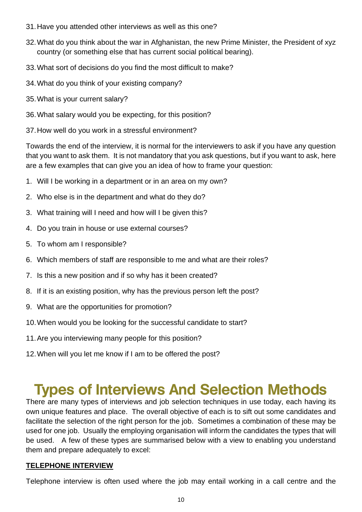- 31. Have you attended other interviews as well as this one?
- 32. What do you think about the war in Afghanistan, the new Prime Minister, the President of xyz country (or something else that has current social political bearing).
- 33. What sort of decisions do you find the most difficult to make?
- 34. What do you think of your existing company?
- 35. What is your current salary?
- 36. What salary would you be expecting, for this position?
- 37. How well do you work in a stressful environment?

Towards the end of the interview, it is normal for the interviewers to ask if you have any question that you want to ask them. It is not mandatory that you ask questions, but if you want to ask, here are a few examples that can give you an idea of how to frame your question:

- 1. Will I be working in a department or in an area on my own?
- 2. Who else is in the department and what do they do?
- 3. What training will I need and how will I be given this?
- 4. Do you train in house or use external courses?
- 5. To whom am I responsible?
- 6. Which members of staff are responsible to me and what are their roles?
- 7. Is this a new position and if so why has it been created?
- 8. If it is an existing position, why has the previous person left the post?
- 9. What are the opportunities for promotion?
- 10. When would you be looking for the successful candidate to start?
- 11. Are you interviewing many people for this position?
- 12. When will you let me know if I am to be offered the post?

## **Types of Interviews And Selection Methods**

There are many types of interviews and job selection techniques in use today, each having its own unique features and place. The overall objective of each is to sift out some candidates and facilitate the selection of the right person for the job. Sometimes a combination of these may be used for one job. Usually the employing organisation will inform the candidates the types that will be used. A few of these types are summarised below with a view to enabling you understand them and prepare adequately to excel:

#### **TELEPHONE INTERVIEW**

Telephone interview is often used where the job may entail working in a call centre and the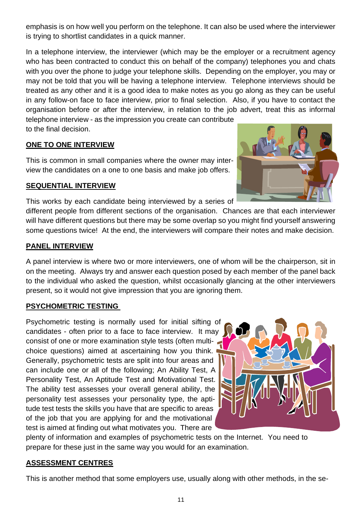emphasis is on how well you perform on the telephone. It can also be used where the interviewer is trying to shortlist candidates in a quick manner.

In a telephone interview, the interviewer (which may be the employer or a recruitment agency who has been contracted to conduct this on behalf of the company) telephones you and chats with you over the phone to judge your telephone skills. Depending on the employer, you may or may not be told that you will be having a telephone interview. Telephone interviews should be treated as any other and it is a good idea to make notes as you go along as they can be useful in any follow-on face to face interview, prior to final selection. Also, if you have to contact the organisation before or after the interview, in relation to the job advert, treat this as informal telephone interview - as the impression you create can contribute

to the final decision.

#### **ONE TO ONE INTERVIEW**

This is common in small companies where the owner may interview the candidates on a one to one basis and make job offers.

#### **SEQUENTIAL INTERVIEW**

This works by each candidate being interviewed by a series of

different people from different sections of the organisation. Chances are that each interviewer will have different questions but there may be some overlap so you might find yourself answering some questions twice! At the end, the interviewers will compare their notes and make decision.

### **PANEL INTERVIEW**

A panel interview is where two or more interviewers, one of whom will be the chairperson, sit in on the meeting. Always try and answer each question posed by each member of the panel back to the individual who asked the question, whilst occasionally glancing at the other interviewers present, so it would not give impression that you are ignoring them.

### **PSYCHOMETRIC TESTING**

Psychometric testing is normally used for initial sifting of candidates - often prior to a face to face interview. It may consist of one or more examination style tests (often multichoice questions) aimed at ascertaining how you think. Generally, psychometric tests are split into four areas and can include one or all of the following; An Ability Test, A Personality Test, An Aptitude Test and Motivational Test. The ability test assesses your overall general ability, the personality test assesses your personality type, the aptitude test tests the skills you have that are specific to areas of the job that you are applying for and the motivational test is aimed at finding out what motivates you. There are



plenty of information and examples of psychometric tests on the Internet. You need to prepare for these just in the same way you would for an examination.

### **ASSESSMENT CENTRES**

This is another method that some employers use, usually along with other methods, in the se-

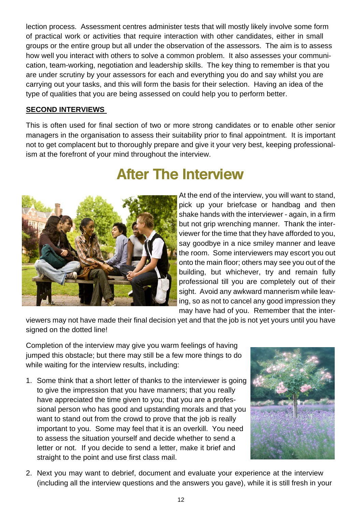lection process. Assessment centres administer tests that will mostly likely involve some form of practical work or activities that require interaction with other candidates, either in small groups or the entire group but all under the observation of the assessors. The aim is to assess how well you interact with others to solve a common problem. It also assesses your communication, team-working, negotiation and leadership skills. The key thing to remember is that you are under scrutiny by your assessors for each and everything you do and say whilst you are carrying out your tasks, and this will form the basis for their selection. Having an idea of the type of qualities that you are being assessed on could help you to perform better.

#### **SECOND INTERVIEWS**

This is often used for final section of two or more strong candidates or to enable other senior managers in the organisation to assess their suitability prior to final appointment. It is important not to get complacent but to thoroughly prepare and give it your very best, keeping professionalism at the forefront of your mind throughout the interview.



## **After The Interview**

At the end of the interview, you will want to stand, pick up your briefcase or handbag and then shake hands with the interviewer - again, in a firm but not grip wrenching manner. Thank the interviewer for the time that they have afforded to you, say goodbye in a nice smiley manner and leave the room. Some interviewers may escort you out onto the main floor; others may see you out of the building, but whichever, try and remain fully professional till you are completely out of their sight. Avoid any awkward mannerism while leaving, so as not to cancel any good impression they may have had of you. Remember that the inter-

viewers may not have made their final decision yet and that the job is not yet yours until you have signed on the dotted line!

Completion of the interview may give you warm feelings of having jumped this obstacle; but there may still be a few more things to do while waiting for the interview results, including:

1. Some think that a short letter of thanks to the interviewer is going to give the impression that you have manners; that you really have appreciated the time given to you; that you are a professional person who has good and upstanding morals and that you want to stand out from the crowd to prove that the job is really important to you. Some may feel that it is an overkill. You need to assess the situation yourself and decide whether to send a letter or not. If you decide to send a letter, make it brief and straight to the point and use first class mail.



2. Next you may want to debrief, document and evaluate your experience at the interview (including all the interview questions and the answers you gave), while it is still fresh in your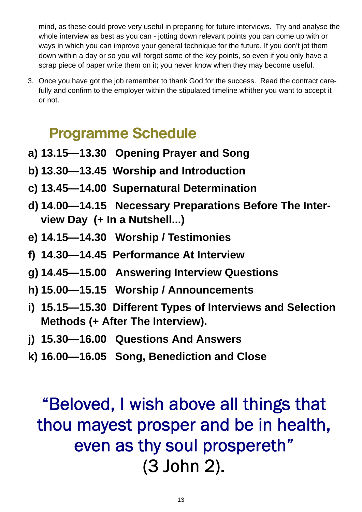mind, as these could prove very useful in preparing for future interviews. Try and analyse the whole interview as best as you can - jotting down relevant points you can come up with or ways in which you can improve your general technique for the future. If you don't jot them down within a day or so you will forgot some of the key points, so even if you only have a scrap piece of paper write them on it; you never know when they may become useful.

3. Once you have got the job remember to thank God for the success. Read the contract carefully and confirm to the employer within the stipulated timeline whither you want to accept it or not.

## **Programme Schedule**

- **a) 13.15—13.30 Opening Prayer and Song**
- **b) 13.30—13.45 Worship and Introduction**
- **c) 13.45—14.00 Supernatural Determination**
- **d) 14.00—14.15 Necessary Preparations Before The Interview Day (+ In a Nutshell...)**
- **e) 14.15—14.30 Worship / Testimonies**
- **f) 14.30—14.45 Performance At Interview**
- **g) 14.45—15.00 Answering Interview Questions**
- **h) 15.00—15.15 Worship / Announcements**
- **i) 15.15—15.30 Different Types of Interviews and Selection Methods (+ After The Interview).**
- **j) 15.30—16.00 Questions And Answers**
- **k) 16.00—16.05 Song, Benediction and Close**

## "Beloved, I wish above all things that thou mayest prosper and be in health, even as thy soul prospereth" (3 John 2).